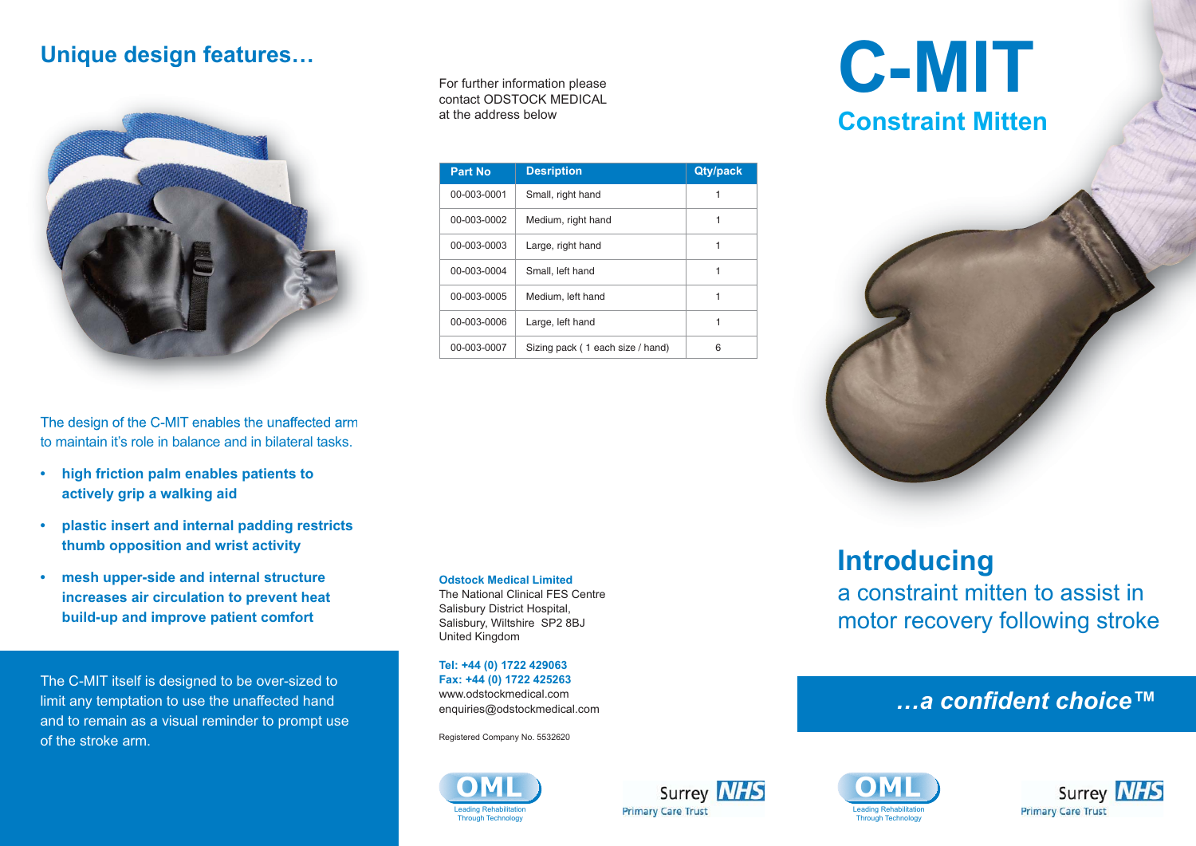### **Unique design features…**



The design of the C-MIT enables the unaffected arm to maintain it's role in balance and in bilateral tasks.

- **high friction palm enables patients to actively grip a walking aid**
- **plastic insert and internal padding restricts thumb opposition and wrist activity**
- **mesh upper-side and internal structure increases air circulation to prevent heat build-up and improve patient comfort**

The C-MIT itself is designed to be over-sized to limit any temptation to use the unaffected hand and to remain as a visual reminder to prompt use of the stroke arm.

For further information please contact ODSTOCK MEDICAL at the address below

| <b>Part No</b> | <b>Desription</b>                | <b>Qty/pack</b> |
|----------------|----------------------------------|-----------------|
| 00-003-0001    | Small, right hand                |                 |
| 00-003-0002    | Medium, right hand               |                 |
| 00-003-0003    | Large, right hand                |                 |
| 00-003-0004    | Small, left hand                 |                 |
| 00-003-0005    | Medium, left hand                |                 |
| 00-003-0006    | Large, left hand                 |                 |
| 00-003-0007    | Sizing pack (1 each size / hand) | 6               |

**Odstock Medical Limited** The National Clinical FES Centre Salisbury District Hospital, Salisbury, Wiltshire SP2 8BJ United Kingdom

**Tel: +44 (0) 1722 429063 Fax: +44 (0) 1722 425263** www.odstockmedical.com enquiries@odstockmedical.com

Registered Company No. 5532620









**C-MIT Constraint Mitten**



# **Introducing**

a constraint mitten to assist in motor recovery following stroke

### *…a confident choice™*